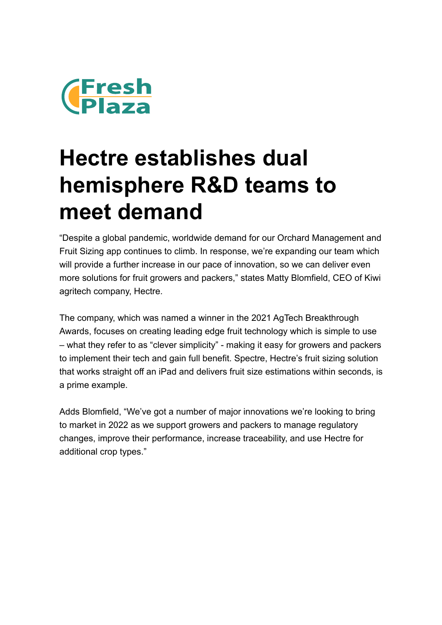

## **Hectre establishes dual hemisphere R&D teams to meet demand**

"Despite a global pandemic, worldwide demand for our Orchard Management and Fruit Sizing app continues to climb. In response, we're expanding our team which will provide a further increase in our pace of innovation, so we can deliver even more solutions for fruit growers and packers," states Matty Blomfield, CEO of Kiwi agritech company, Hectre.

The company, which was named a winner in the 2021 AgTech Breakthrough Awards, focuses on creating leading edge fruit technology which is simple to use – what they refer to as "clever simplicity" - making it easy for growers and packers to implement their tech and gain full benefit. Spectre, Hectre's fruit sizing solution that works straight off an iPad and delivers fruit size estimations within seconds, is a prime example.

Adds Blomfield, "We've got a number of major innovations we're looking to bring to market in 2022 as we support growers and packers to manage regulatory changes, improve their performance, increase traceability, and use Hectre for additional crop types."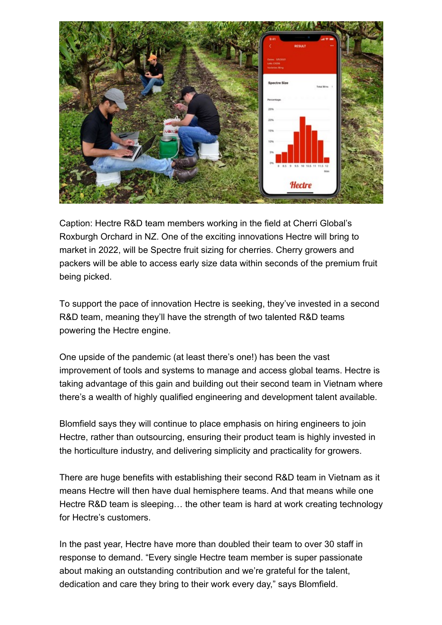

Caption: Hectre R&D team members working in the field at Cherri Global's Roxburgh Orchard in NZ. One of the exciting innovations Hectre will bring to market in 2022, will be Spectre fruit sizing for cherries. Cherry growers and packers will be able to access early size data within seconds of the premium fruit being picked.

To support the pace of innovation Hectre is seeking, they've invested in a second R&D team, meaning they'll have the strength of two talented R&D teams powering the Hectre engine.

One upside of the pandemic (at least there's one!) has been the vast improvement of tools and systems to manage and access global teams. Hectre is taking advantage of this gain and building out their second team in Vietnam where there's a wealth of highly qualified engineering and development talent available.

Blomfield says they will continue to place emphasis on hiring engineers to join Hectre, rather than outsourcing, ensuring their product team is highly invested in the horticulture industry, and delivering simplicity and practicality for growers.

There are huge benefits with establishing their second R&D team in Vietnam as it means Hectre will then have dual hemisphere teams. And that means while one Hectre R&D team is sleeping… the other team is hard at work creating technology for Hectre's customers.

In the past year, Hectre have more than doubled their team to over 30 staff in response to demand. "Every single Hectre team member is super passionate about making an outstanding contribution and we're grateful for the talent, dedication and care they bring to their work every day," says Blomfield.